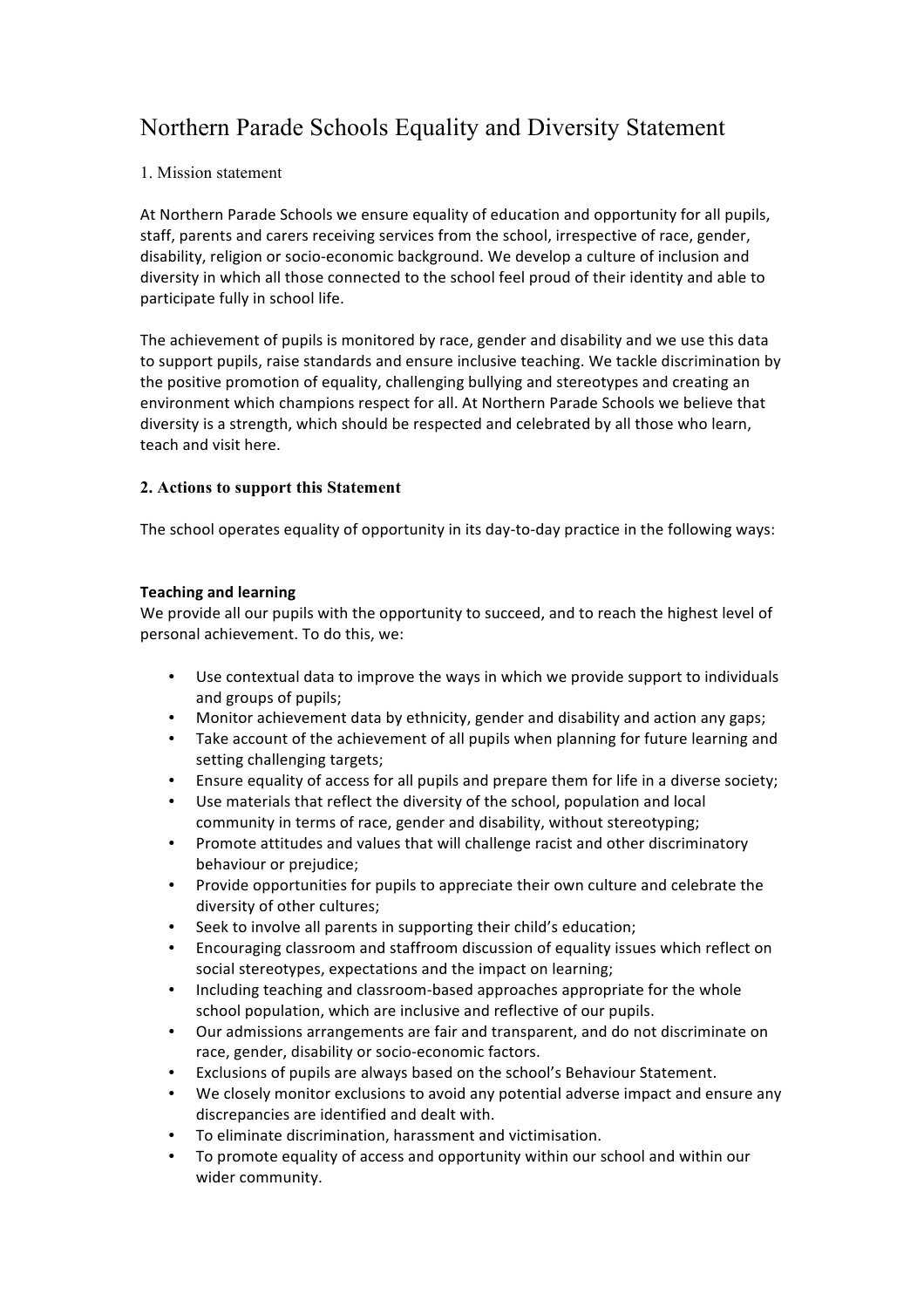# Northern Parade Schools Equality and Diversity Statement

## 1. Mission statement

At Northern Parade Schools we ensure equality of education and opportunity for all pupils, staff, parents and carers receiving services from the school, irrespective of race, gender, disability, religion or socio-economic background. We develop a culture of inclusion and diversity in which all those connected to the school feel proud of their identity and able to participate fully in school life.

The achievement of pupils is monitored by race, gender and disability and we use this data to support pupils, raise standards and ensure inclusive teaching. We tackle discrimination by the positive promotion of equality, challenging bullying and stereotypes and creating an environment which champions respect for all. At Northern Parade Schools we believe that diversity is a strength, which should be respected and celebrated by all those who learn, teach and visit here.

## **2. Actions to support this Statement**

The school operates equality of opportunity in its day-to-day practice in the following ways:

## **Teaching and learning**

We provide all our pupils with the opportunity to succeed, and to reach the highest level of personal achievement. To do this, we:

- Use contextual data to improve the ways in which we provide support to individuals and groups of pupils;
- Monitor achievement data by ethnicity, gender and disability and action any gaps;
- Take account of the achievement of all pupils when planning for future learning and setting challenging targets;
- Ensure equality of access for all pupils and prepare them for life in a diverse society;
- Use materials that reflect the diversity of the school, population and local community in terms of race, gender and disability, without stereotyping;
- Promote attitudes and values that will challenge racist and other discriminatory behaviour or prejudice;
- Provide opportunities for pupils to appreciate their own culture and celebrate the diversity of other cultures;
- Seek to involve all parents in supporting their child's education;
- Encouraging classroom and staffroom discussion of equality issues which reflect on social stereotypes, expectations and the impact on learning;
- Including teaching and classroom-based approaches appropriate for the whole school population, which are inclusive and reflective of our pupils.
- Our admissions arrangements are fair and transparent, and do not discriminate on race, gender, disability or socio-economic factors.
- Exclusions of pupils are always based on the school's Behaviour Statement.
- We closely monitor exclusions to avoid any potential adverse impact and ensure any discrepancies are identified and dealt with.
- To eliminate discrimination, harassment and victimisation.
- To promote equality of access and opportunity within our school and within our wider community.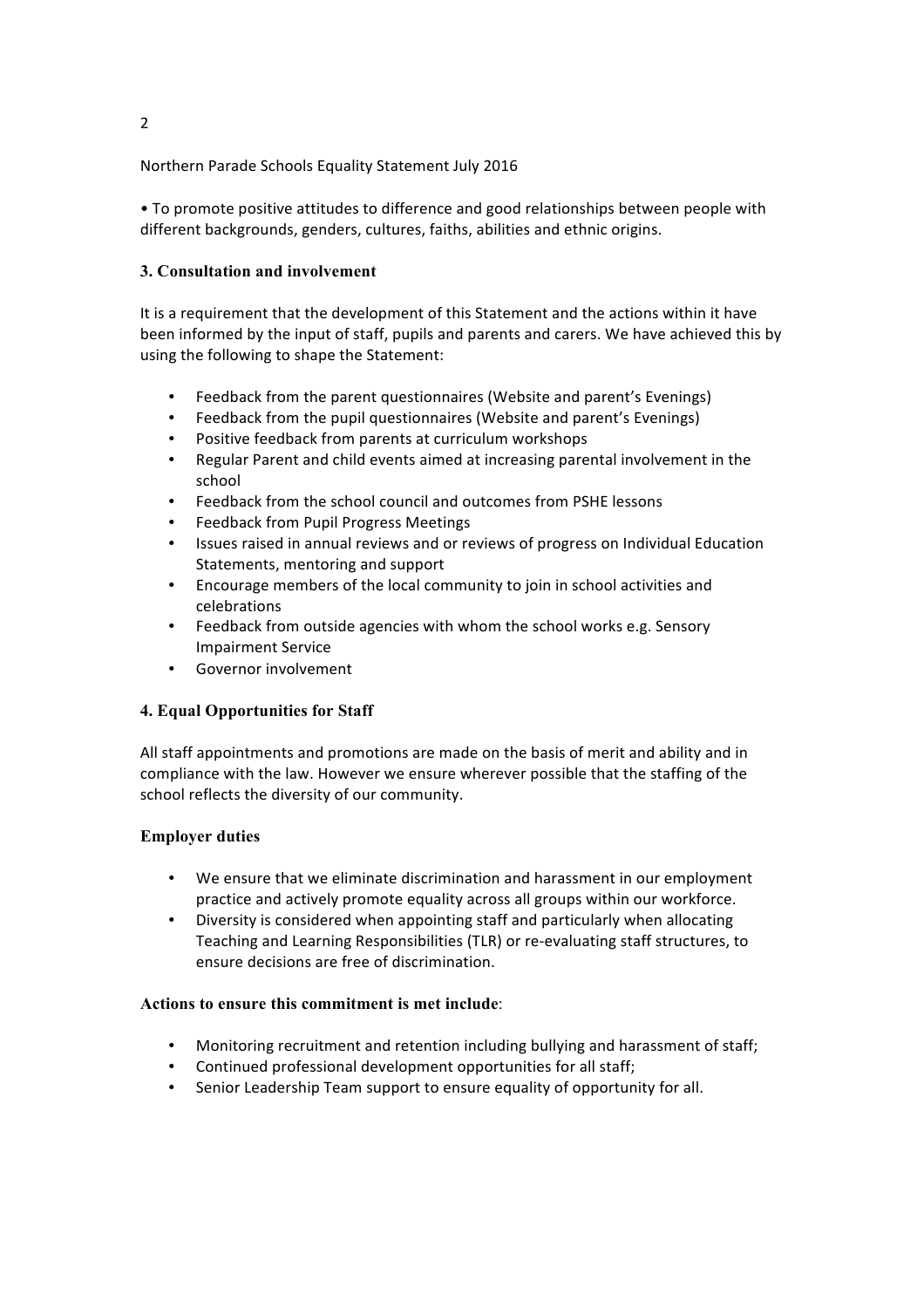• To promote positive attitudes to difference and good relationships between people with different backgrounds, genders, cultures, faiths, abilities and ethnic origins.

## **3. Consultation and involvement**

It is a requirement that the development of this Statement and the actions within it have been informed by the input of staff, pupils and parents and carers. We have achieved this by using the following to shape the Statement:

- Feedback from the parent questionnaires (Website and parent's Evenings)
- Feedback from the pupil questionnaires (Website and parent's Evenings)
- Positive feedback from parents at curriculum workshops
- Regular Parent and child events aimed at increasing parental involvement in the school
- Feedback from the school council and outcomes from PSHE lessons
- Feedback from Pupil Progress Meetings
- Issues raised in annual reviews and or reviews of progress on Individual Education Statements, mentoring and support
- Encourage members of the local community to join in school activities and celebrations
- Feedback from outside agencies with whom the school works e.g. Sensory Impairment Service
- Governor involvement

#### **4. Equal Opportunities for Staff**

All staff appointments and promotions are made on the basis of merit and ability and in compliance with the law. However we ensure wherever possible that the staffing of the school reflects the diversity of our community.

#### **Employer duties**

- We ensure that we eliminate discrimination and harassment in our employment practice and actively promote equality across all groups within our workforce.
- Diversity is considered when appointing staff and particularly when allocating Teaching and Learning Responsibilities (TLR) or re-evaluating staff structures, to ensure decisions are free of discrimination.

#### **Actions to ensure this commitment is met include**:

- Monitoring recruitment and retention including bullying and harassment of staff;
- Continued professional development opportunities for all staff;
- Senior Leadership Team support to ensure equality of opportunity for all.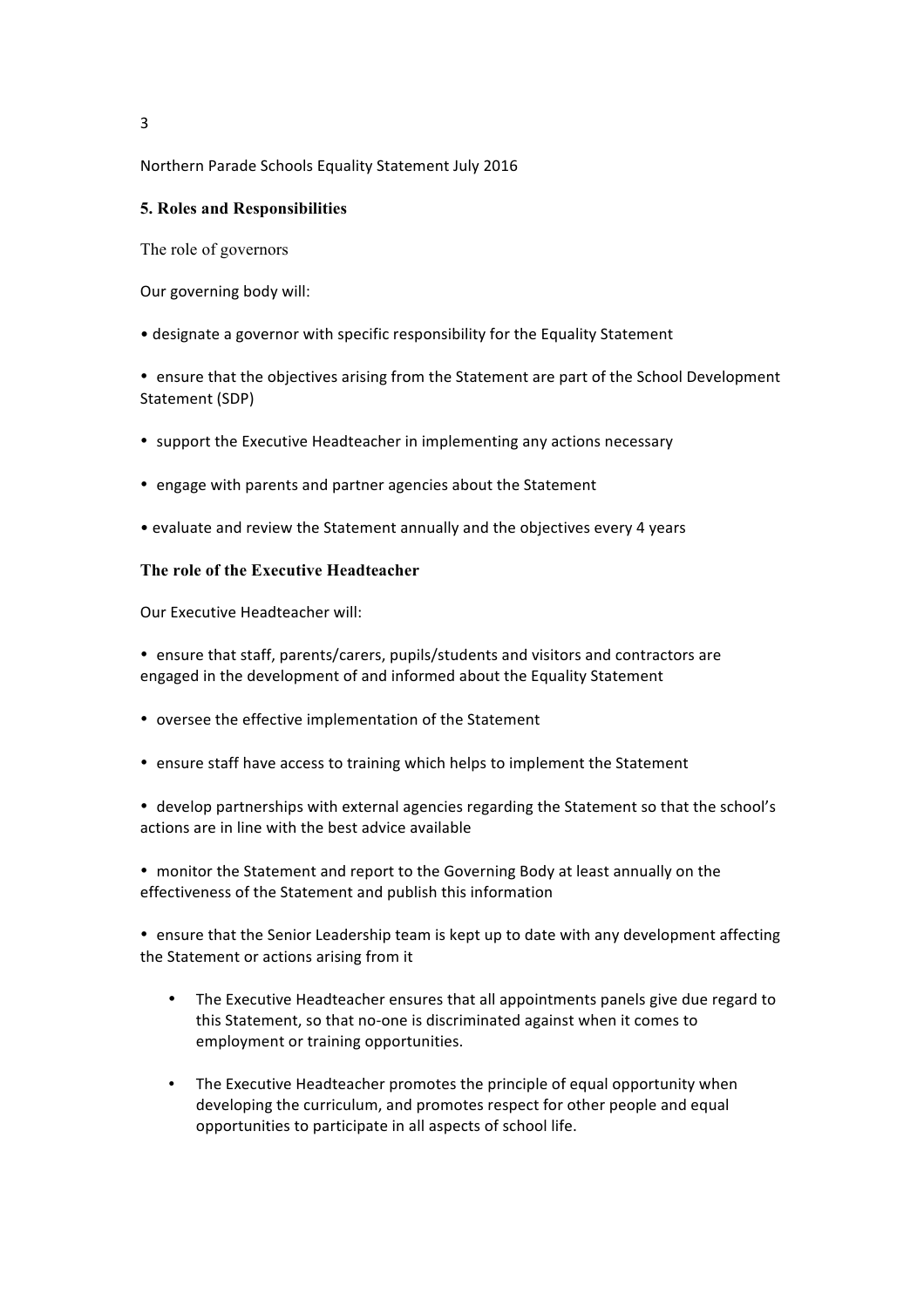#### **5. Roles and Responsibilities**

The role of governors

Our governing body will:

• designate a governor with specific responsibility for the Equality Statement

• ensure that the objectives arising from the Statement are part of the School Development Statement (SDP)

- support the Executive Headteacher in implementing any actions necessary
- engage with parents and partner agencies about the Statement
- evaluate and review the Statement annually and the objectives every 4 years

## **The role of the Executive Headteacher**

Our Executive Headteacher will:

• ensure that staff, parents/carers, pupils/students and visitors and contractors are engaged in the development of and informed about the Equality Statement

- oversee the effective implementation of the Statement
- ensure staff have access to training which helps to implement the Statement

• develop partnerships with external agencies regarding the Statement so that the school's actions are in line with the best advice available

• monitor the Statement and report to the Governing Body at least annually on the effectiveness of the Statement and publish this information

• ensure that the Senior Leadership team is kept up to date with any development affecting the Statement or actions arising from it

- The Executive Headteacher ensures that all appointments panels give due regard to this Statement, so that no-one is discriminated against when it comes to employment or training opportunities.
- The Executive Headteacher promotes the principle of equal opportunity when developing the curriculum, and promotes respect for other people and equal opportunities to participate in all aspects of school life.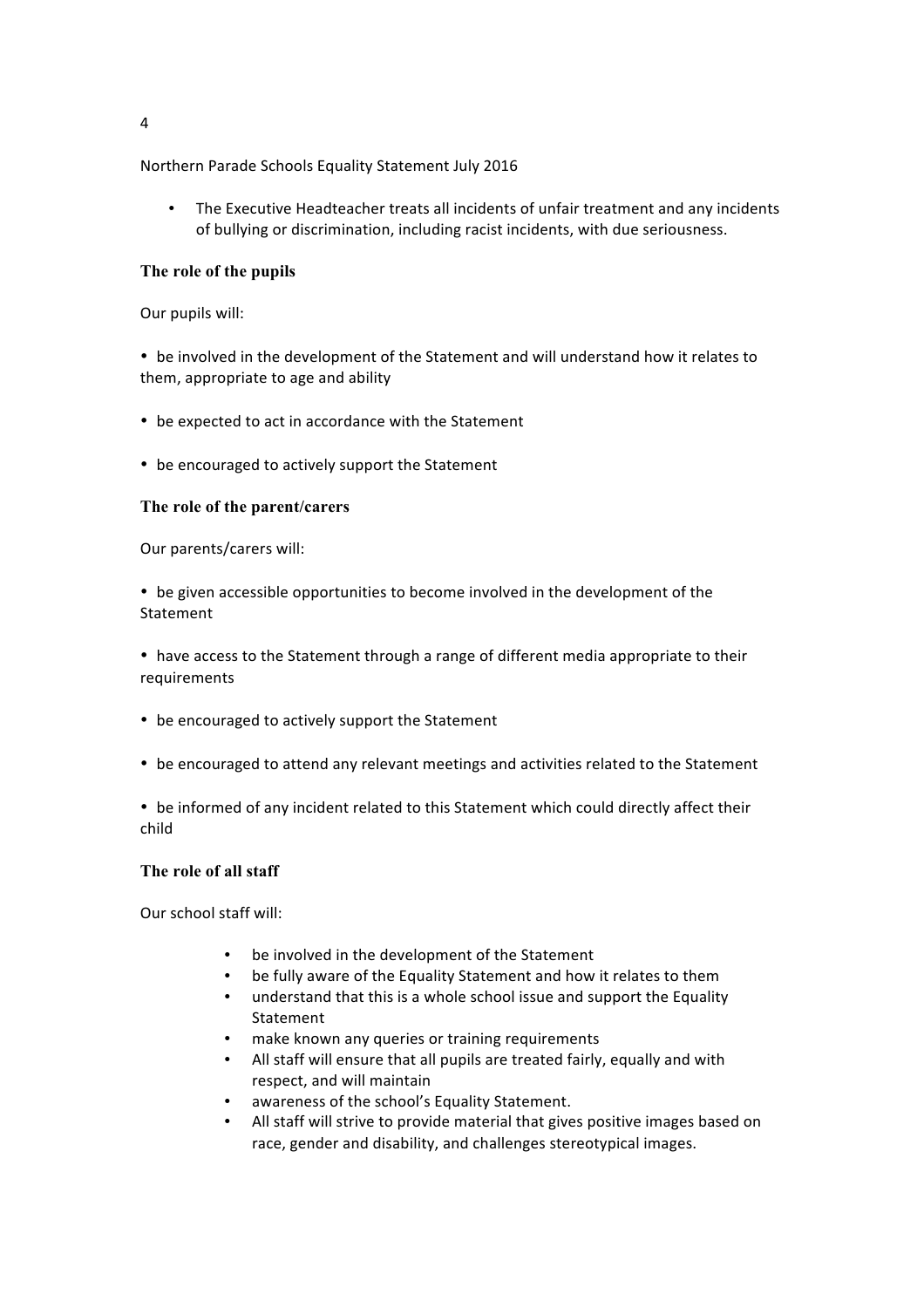The Executive Headteacher treats all incidents of unfair treatment and any incidents of bullying or discrimination, including racist incidents, with due seriousness.

## **The role of the pupils**

Our pupils will:

• be involved in the development of the Statement and will understand how it relates to them, appropriate to age and ability

- be expected to act in accordance with the Statement
- be encouraged to actively support the Statement

## **The role of the parent/carers**

Our parents/carers will:

• be given accessible opportunities to become involved in the development of the Statement 

• have access to the Statement through a range of different media appropriate to their requirements 

- be encouraged to actively support the Statement
- be encouraged to attend any relevant meetings and activities related to the Statement

• be informed of any incident related to this Statement which could directly affect their child 

#### **The role of all staff**

Our school staff will: 

- be involved in the development of the Statement
- be fully aware of the Equality Statement and how it relates to them
- understand that this is a whole school issue and support the Equality Statement
- make known any queries or training requirements
- All staff will ensure that all pupils are treated fairly, equally and with respect, and will maintain
- awareness of the school's Equality Statement.
- All staff will strive to provide material that gives positive images based on race, gender and disability, and challenges stereotypical images.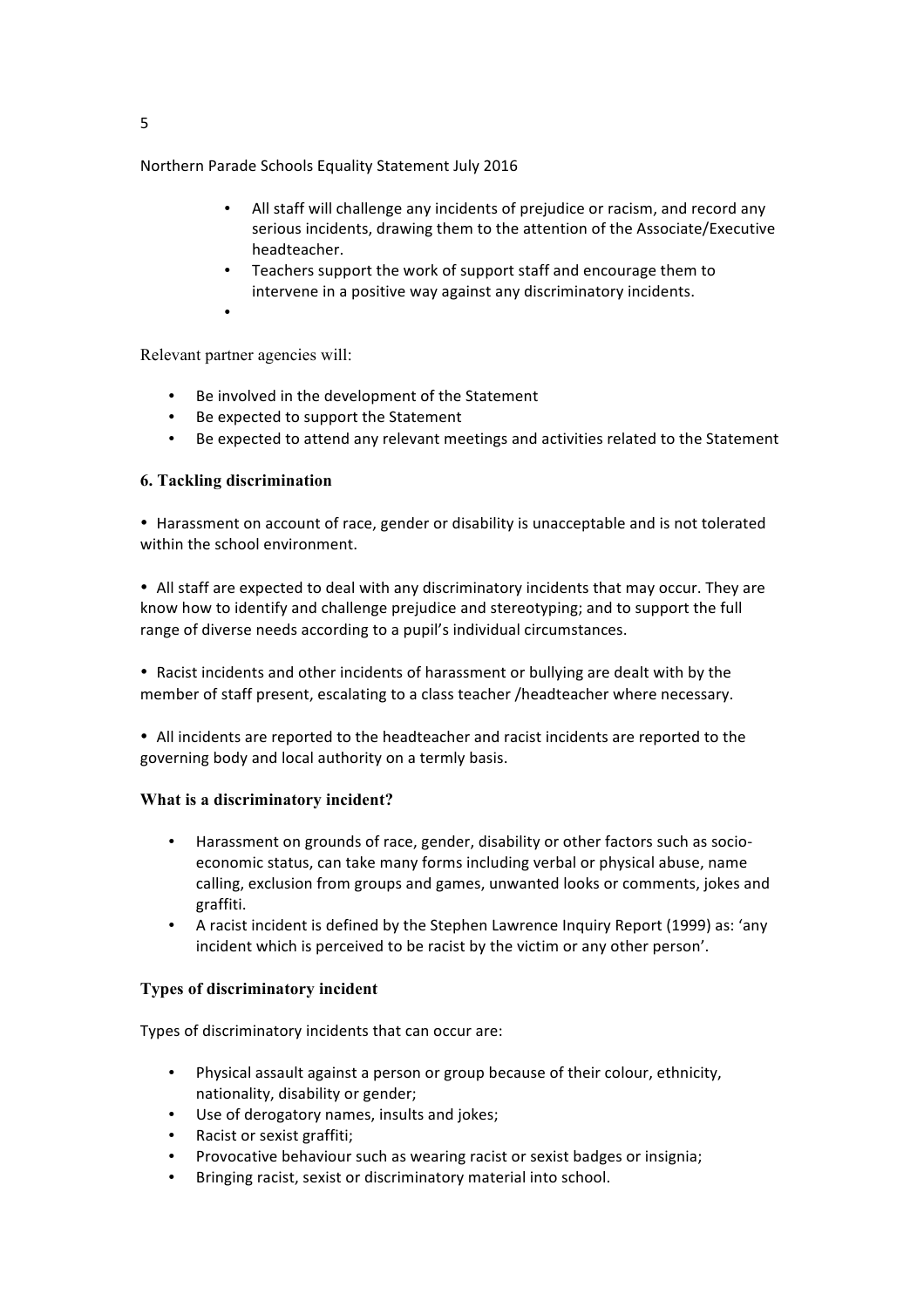- All staff will challenge any incidents of prejudice or racism, and record any serious incidents, drawing them to the attention of the Associate/Executive headteacher.
- Teachers support the work of support staff and encourage them to intervene in a positive way against any discriminatory incidents.
- Relevant partner agencies will:

•

- Be involved in the development of the Statement
- Be expected to support the Statement
- Be expected to attend any relevant meetings and activities related to the Statement

## **6. Tackling discrimination**

• Harassment on account of race, gender or disability is unacceptable and is not tolerated within the school environment.

• All staff are expected to deal with any discriminatory incidents that may occur. They are know how to identify and challenge prejudice and stereotyping; and to support the full range of diverse needs according to a pupil's individual circumstances.

• Racist incidents and other incidents of harassment or bullying are dealt with by the member of staff present, escalating to a class teacher /headteacher where necessary.

• All incidents are reported to the headteacher and racist incidents are reported to the governing body and local authority on a termly basis.

#### **What is a discriminatory incident?**

- Harassment on grounds of race, gender, disability or other factors such as socioeconomic status, can take many forms including verbal or physical abuse, name calling, exclusion from groups and games, unwanted looks or comments, jokes and graffiti.
- A racist incident is defined by the Stephen Lawrence Inquiry Report (1999) as: 'any incident which is perceived to be racist by the victim or any other person'.

#### **Types of discriminatory incident**

Types of discriminatory incidents that can occur are:

- Physical assault against a person or group because of their colour, ethnicity, nationality, disability or gender;
- Use of derogatory names, insults and jokes;
- Racist or sexist graffiti;
- Provocative behaviour such as wearing racist or sexist badges or insignia;
- Bringing racist, sexist or discriminatory material into school.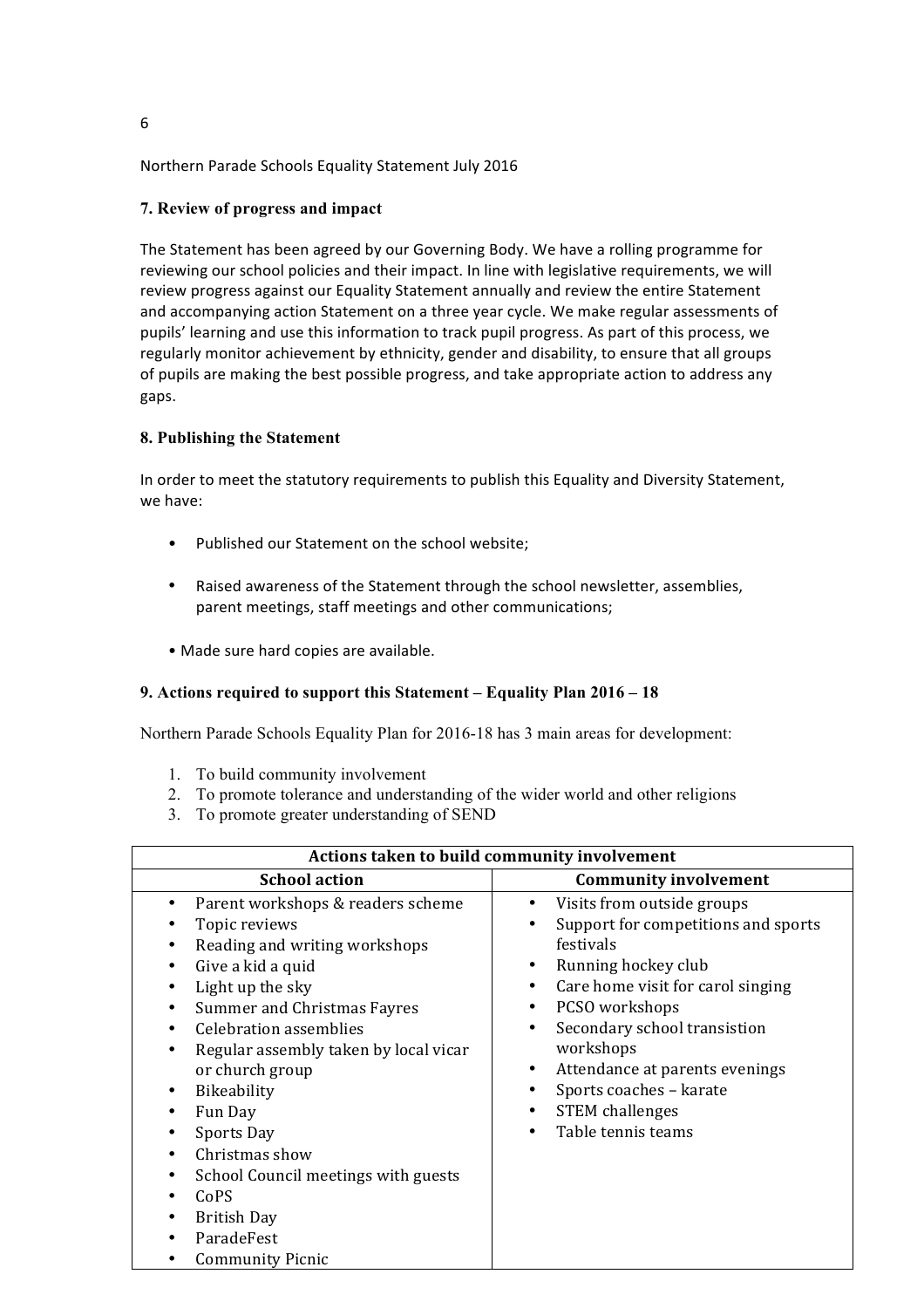## **7. Review of progress and impact**

The Statement has been agreed by our Governing Body. We have a rolling programme for reviewing our school policies and their impact. In line with legislative requirements, we will review progress against our Equality Statement annually and review the entire Statement and accompanying action Statement on a three year cycle. We make regular assessments of pupils' learning and use this information to track pupil progress. As part of this process, we regularly monitor achievement by ethnicity, gender and disability, to ensure that all groups of pupils are making the best possible progress, and take appropriate action to address any gaps. 

## **8. Publishing the Statement**

In order to meet the statutory requirements to publish this Equality and Diversity Statement, we have:

- Published our Statement on the school website;
- Raised awareness of the Statement through the school newsletter, assemblies, parent meetings, staff meetings and other communications;
- Made sure hard copies are available.

## **9. Actions required to support this Statement – Equality Plan 2016 – 18**

Northern Parade Schools Equality Plan for 2016-18 has 3 main areas for development:

- 1. To build community involvement
- 2. To promote tolerance and understanding of the wider world and other religions
- 3. To promote greater understanding of SEND

| Actions taken to build community involvement                                                                                                                                                                                                                                                                                                                                                                                                  |                                                                                                                                                                                                                                                                                                                        |  |  |  |
|-----------------------------------------------------------------------------------------------------------------------------------------------------------------------------------------------------------------------------------------------------------------------------------------------------------------------------------------------------------------------------------------------------------------------------------------------|------------------------------------------------------------------------------------------------------------------------------------------------------------------------------------------------------------------------------------------------------------------------------------------------------------------------|--|--|--|
| <b>School action</b>                                                                                                                                                                                                                                                                                                                                                                                                                          | <b>Community involvement</b>                                                                                                                                                                                                                                                                                           |  |  |  |
| Parent workshops & readers scheme<br>Topic reviews<br>Reading and writing workshops<br>Give a kid a quid<br>Light up the sky<br>Summer and Christmas Fayres<br>$\bullet$<br><b>Celebration assemblies</b><br>Regular assembly taken by local vicar<br>or church group<br>Bikeability<br>Fun Day<br>Sports Day<br>Christmas show<br>School Council meetings with guests<br>CoPS<br><b>British Day</b><br>ParadeFest<br><b>Community Picnic</b> | Visits from outside groups<br>Support for competitions and sports<br>festivals<br>Running hockey club<br>Care home visit for carol singing<br>PCSO workshops<br>Secondary school transistion<br>workshops<br>Attendance at parents evenings<br>Sports coaches - karate<br><b>STEM</b> challenges<br>Table tennis teams |  |  |  |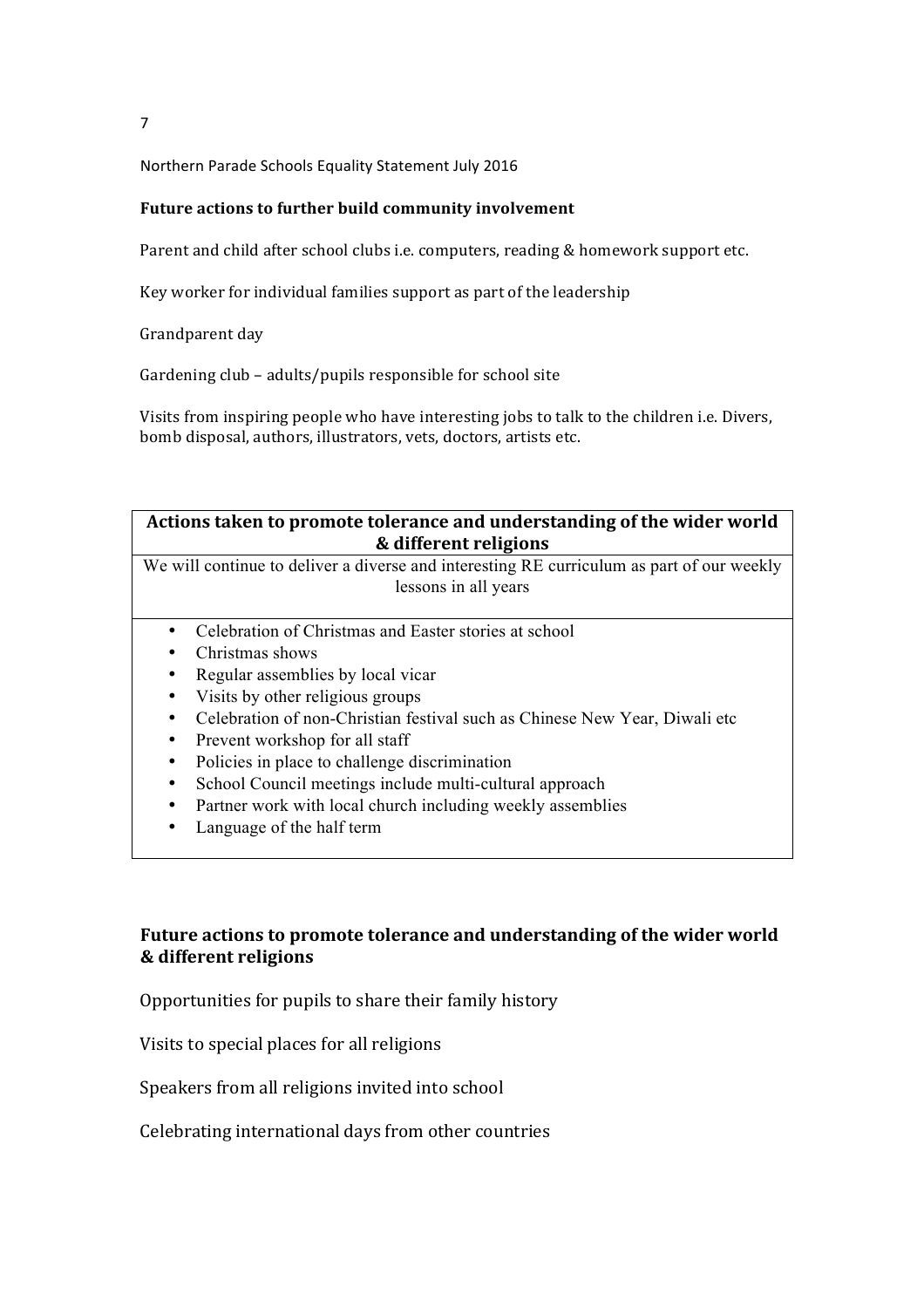## **Future actions to further build community involvement**

Parent and child after school clubs i.e. computers, reading & homework support etc.

Key worker for individual families support as part of the leadership

Grandparent day

Gardening club - adults/pupils responsible for school site

Visits from inspiring people who have interesting jobs to talk to the children i.e. Divers, bomb disposal, authors, illustrators, vets, doctors, artists etc.

## Actions taken to promote tolerance and understanding of the wider world **& different religions**

We will continue to deliver a diverse and interesting RE curriculum as part of our weekly lessons in all years

- Celebration of Christmas and Easter stories at school
- Christmas shows
- Regular assemblies by local vicar
- Visits by other religious groups
- Celebration of non-Christian festival such as Chinese New Year, Diwali etc
- Prevent workshop for all staff<br>• Policies in place to challenge of
- Policies in place to challenge discrimination
- School Council meetings include multi-cultural approach
- Partner work with local church including weekly assemblies
- Language of the half term

# Future actions to promote tolerance and understanding of the wider world **& different religions**

Opportunities for pupils to share their family history

Visits to special places for all religions

Speakers from all religions invited into school

Celebrating international days from other countries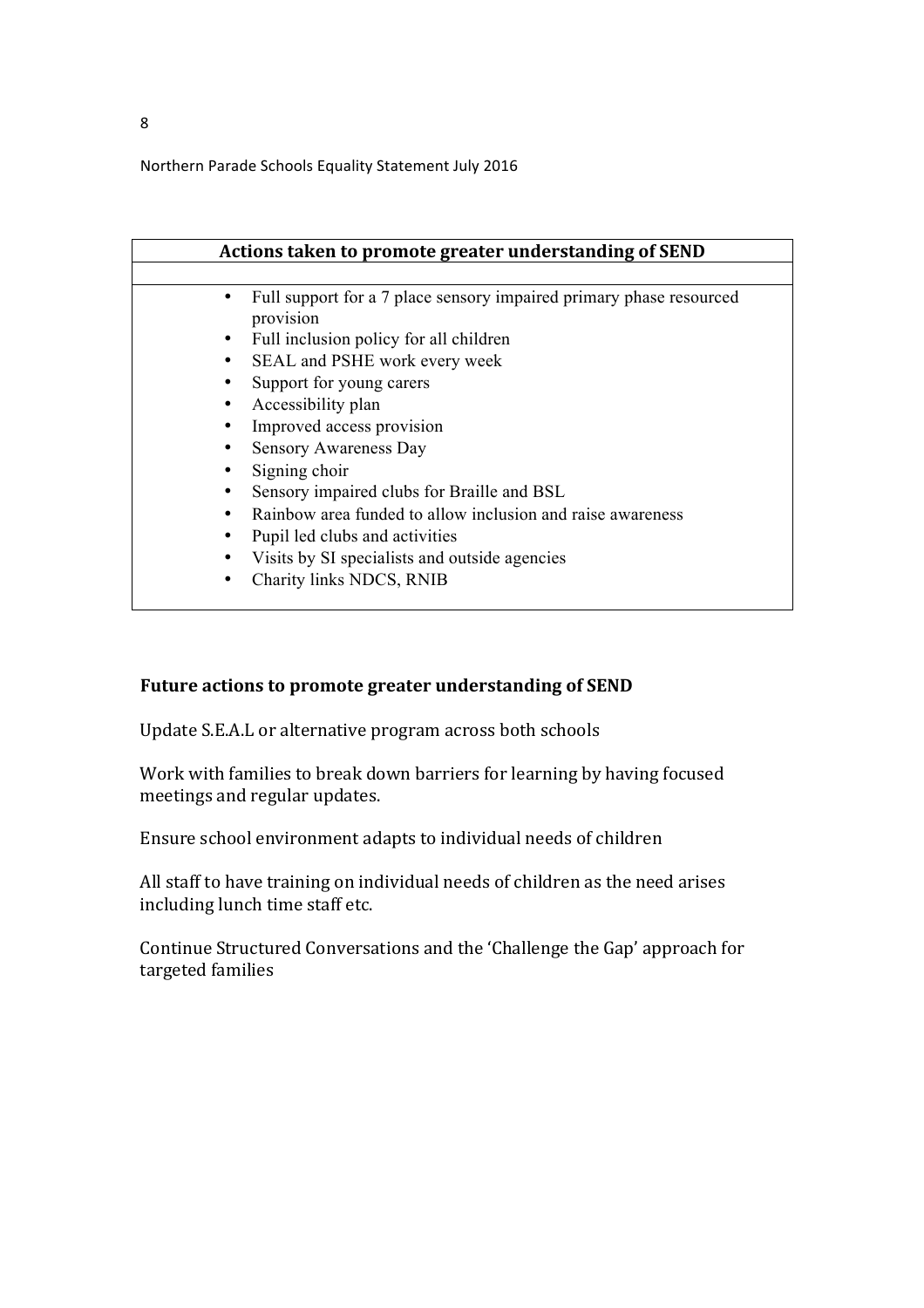| Actions taken to promote greater understanding of SEND                           |
|----------------------------------------------------------------------------------|
|                                                                                  |
| Full support for a 7 place sensory impaired primary phase resourced<br>provision |
| Full inclusion policy for all children<br>٠                                      |
| SEAL and PSHE work every week<br>٠                                               |
| Support for young carers                                                         |
| Accessibility plan                                                               |
| Improved access provision                                                        |
| <b>Sensory Awareness Day</b>                                                     |
| Signing choir                                                                    |
| Sensory impaired clubs for Braille and BSL                                       |
| Rainbow area funded to allow inclusion and raise awareness<br>٠                  |
| Pupil led clubs and activities                                                   |
| Visits by SI specialists and outside agencies                                    |
| Charity links NDCS, RNIB                                                         |

## Future actions to promote greater understanding of SEND

Update S.E.A.L or alternative program across both schools

Work with families to break down barriers for learning by having focused meetings and regular updates.

Ensure school environment adapts to individual needs of children

All staff to have training on individual needs of children as the need arises including lunch time staff etc.

Continue Structured Conversations and the 'Challenge the Gap' approach for targeted families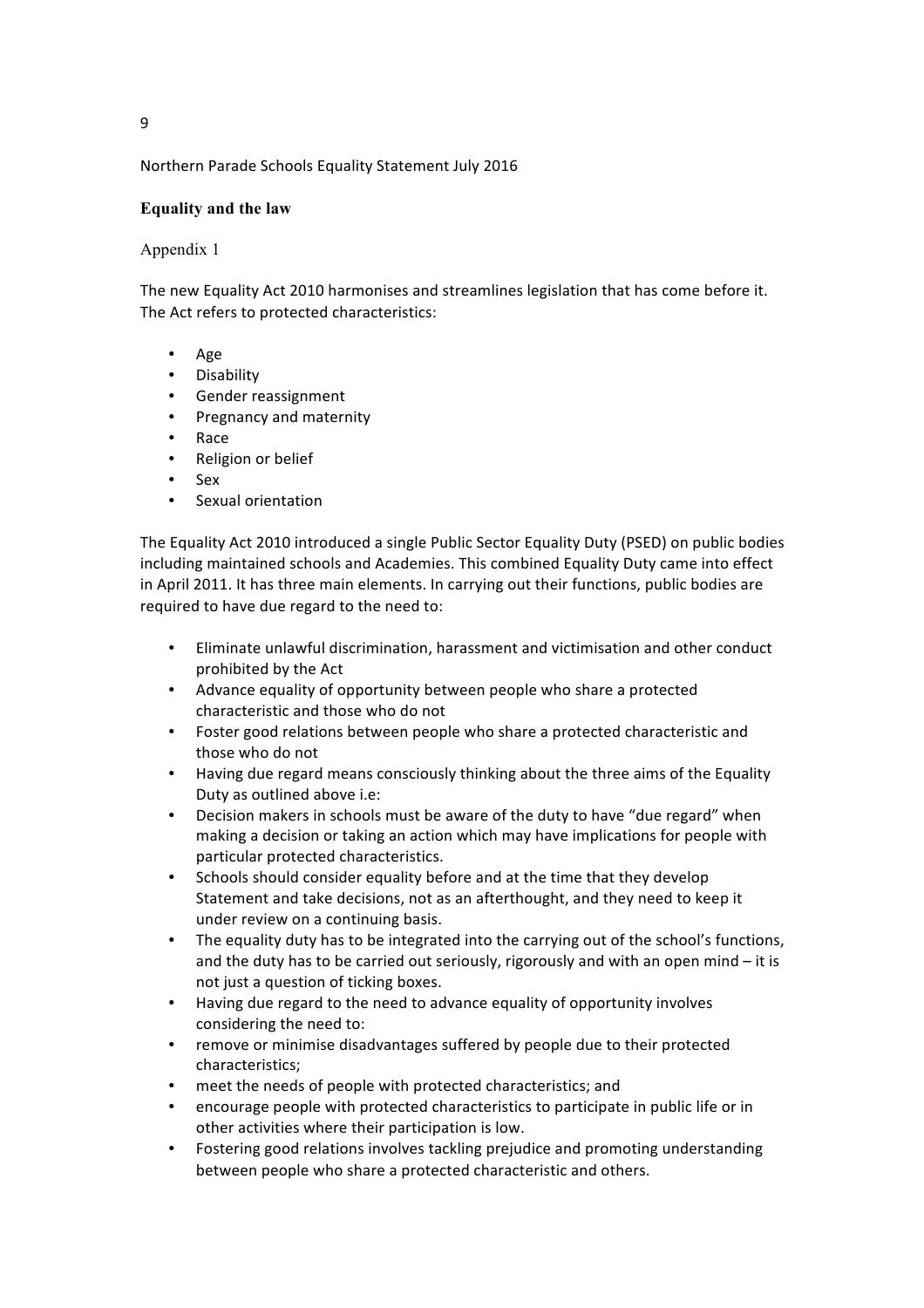## **Equality and the law**

## Appendix 1

The new Equality Act 2010 harmonises and streamlines legislation that has come before it. The Act refers to protected characteristics:

- Age
- Disability
- Gender reassignment
- Pregnancy and maternity
- Race
- Religion or belief
- Sex
- Sexual orientation

The Equality Act 2010 introduced a single Public Sector Equality Duty (PSED) on public bodies including maintained schools and Academies. This combined Equality Duty came into effect in April 2011. It has three main elements. In carrying out their functions, public bodies are required to have due regard to the need to:

- Eliminate unlawful discrimination, harassment and victimisation and other conduct prohibited by the Act
- Advance equality of opportunity between people who share a protected characteristic and those who do not
- Foster good relations between people who share a protected characteristic and those who do not
- Having due regard means consciously thinking about the three aims of the Equality Duty as outlined above i.e:
- Decision makers in schools must be aware of the duty to have "due regard" when making a decision or taking an action which may have implications for people with particular protected characteristics.
- Schools should consider equality before and at the time that they develop Statement and take decisions, not as an afterthought, and they need to keep it under review on a continuing basis.
- The equality duty has to be integrated into the carrying out of the school's functions, and the duty has to be carried out seriously, rigorously and with an open mind  $-$  it is not just a question of ticking boxes.
- Having due regard to the need to advance equality of opportunity involves considering the need to:
- remove or minimise disadvantages suffered by people due to their protected characteristics;
- meet the needs of people with protected characteristics; and
- encourage people with protected characteristics to participate in public life or in other activities where their participation is low.
- Fostering good relations involves tackling prejudice and promoting understanding between people who share a protected characteristic and others.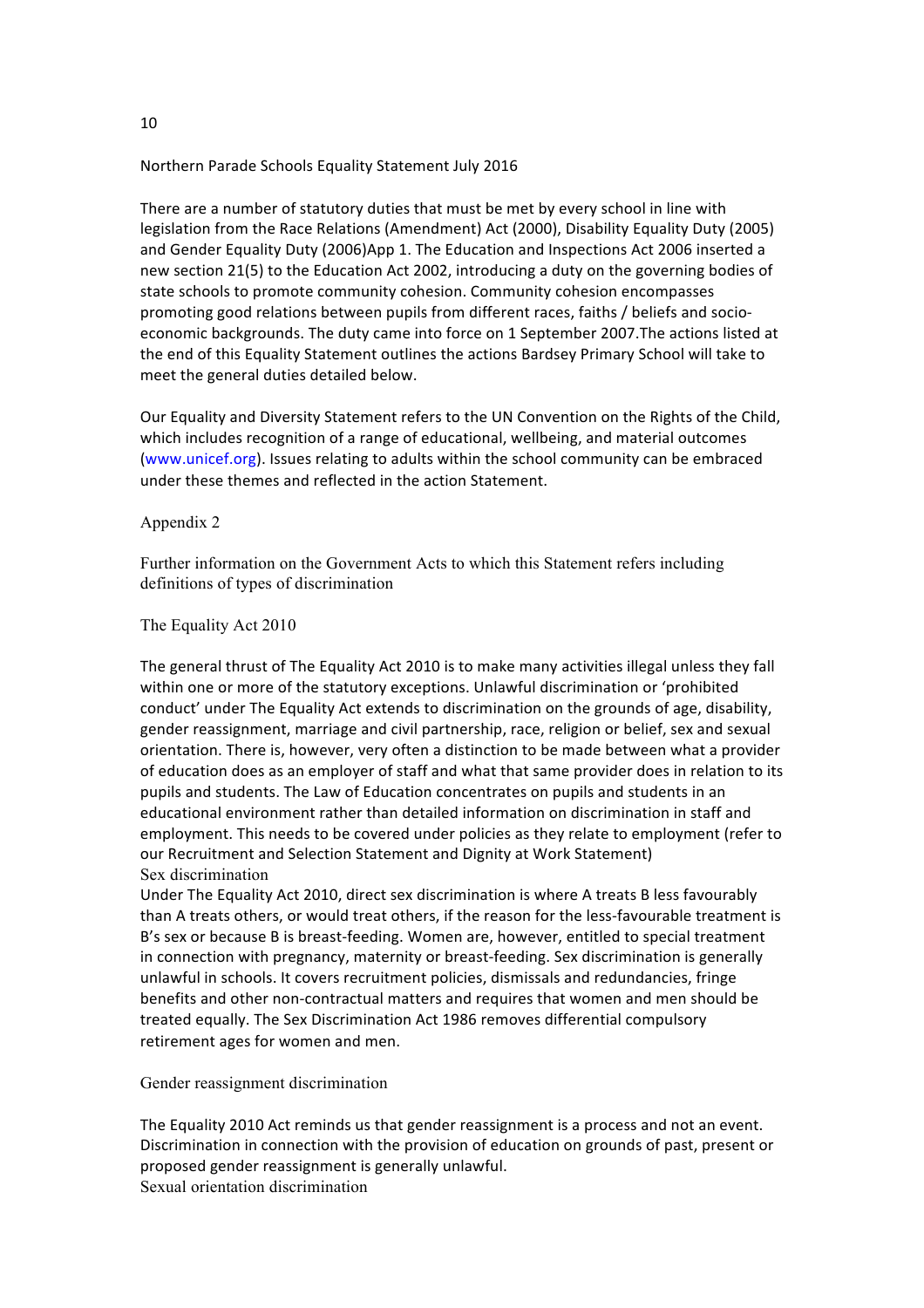There are a number of statutory duties that must be met by every school in line with legislation from the Race Relations (Amendment) Act (2000), Disability Equality Duty (2005) and Gender Equality Duty (2006)App 1. The Education and Inspections Act 2006 inserted a new section 21(5) to the Education Act 2002, introducing a duty on the governing bodies of state schools to promote community cohesion. Community cohesion encompasses promoting good relations between pupils from different races, faiths / beliefs and socioeconomic backgrounds. The duty came into force on 1 September 2007. The actions listed at the end of this Equality Statement outlines the actions Bardsey Primary School will take to meet the general duties detailed below.

Our Equality and Diversity Statement refers to the UN Convention on the Rights of the Child, which includes recognition of a range of educational, wellbeing, and material outcomes (www.unicef.org). Issues relating to adults within the school community can be embraced under these themes and reflected in the action Statement.

#### Appendix 2

Further information on the Government Acts to which this Statement refers including definitions of types of discrimination

The Equality Act 2010

The general thrust of The Equality Act 2010 is to make many activities illegal unless they fall within one or more of the statutory exceptions. Unlawful discrimination or 'prohibited conduct' under The Equality Act extends to discrimination on the grounds of age, disability, gender reassignment, marriage and civil partnership, race, religion or belief, sex and sexual orientation. There is, however, very often a distinction to be made between what a provider of education does as an employer of staff and what that same provider does in relation to its pupils and students. The Law of Education concentrates on pupils and students in an educational environment rather than detailed information on discrimination in staff and employment. This needs to be covered under policies as they relate to employment (refer to our Recruitment and Selection Statement and Dignity at Work Statement) Sex discrimination

Under The Equality Act 2010, direct sex discrimination is where A treats B less favourably than A treats others, or would treat others, if the reason for the less-favourable treatment is B's sex or because B is breast-feeding. Women are, however, entitled to special treatment in connection with pregnancy, maternity or breast-feeding. Sex discrimination is generally unlawful in schools. It covers recruitment policies, dismissals and redundancies, fringe benefits and other non-contractual matters and requires that women and men should be treated equally. The Sex Discrimination Act 1986 removes differential compulsory retirement ages for women and men.

Gender reassignment discrimination

The Equality 2010 Act reminds us that gender reassignment is a process and not an event. Discrimination in connection with the provision of education on grounds of past, present or proposed gender reassignment is generally unlawful. Sexual orientation discrimination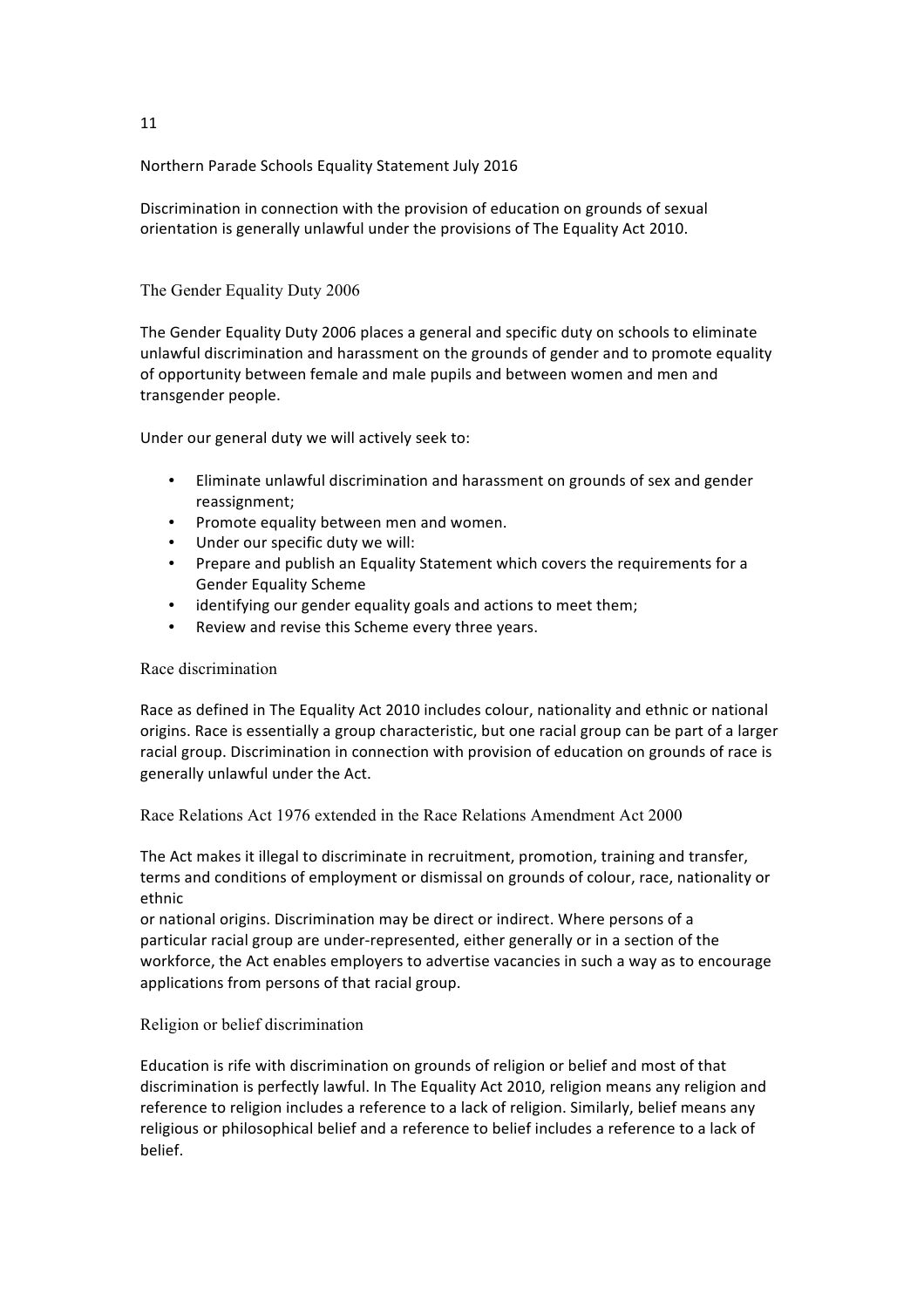Discrimination in connection with the provision of education on grounds of sexual orientation is generally unlawful under the provisions of The Equality Act 2010.

## The Gender Equality Duty 2006

The Gender Equality Duty 2006 places a general and specific duty on schools to eliminate unlawful discrimination and harassment on the grounds of gender and to promote equality of opportunity between female and male pupils and between women and men and transgender people.

Under our general duty we will actively seek to:

- Eliminate unlawful discrimination and harassment on grounds of sex and gender reassignment;
- Promote equality between men and women.
- Under our specific duty we will:
- Prepare and publish an Equality Statement which covers the requirements for a Gender Equality Scheme
- identifying our gender equality goals and actions to meet them;
- Review and revise this Scheme every three years.

#### Race discrimination

Race as defined in The Equality Act 2010 includes colour, nationality and ethnic or national origins. Race is essentially a group characteristic, but one racial group can be part of a larger racial group. Discrimination in connection with provision of education on grounds of race is generally unlawful under the Act.

Race Relations Act 1976 extended in the Race Relations Amendment Act 2000

The Act makes it illegal to discriminate in recruitment, promotion, training and transfer, terms and conditions of employment or dismissal on grounds of colour, race, nationality or ethnic

or national origins. Discrimination may be direct or indirect. Where persons of a particular racial group are under-represented, either generally or in a section of the workforce, the Act enables employers to advertise vacancies in such a way as to encourage applications from persons of that racial group.

#### Religion or belief discrimination

Education is rife with discrimination on grounds of religion or belief and most of that discrimination is perfectly lawful. In The Equality Act 2010, religion means any religion and reference to religion includes a reference to a lack of religion. Similarly, belief means any religious or philosophical belief and a reference to belief includes a reference to a lack of belief.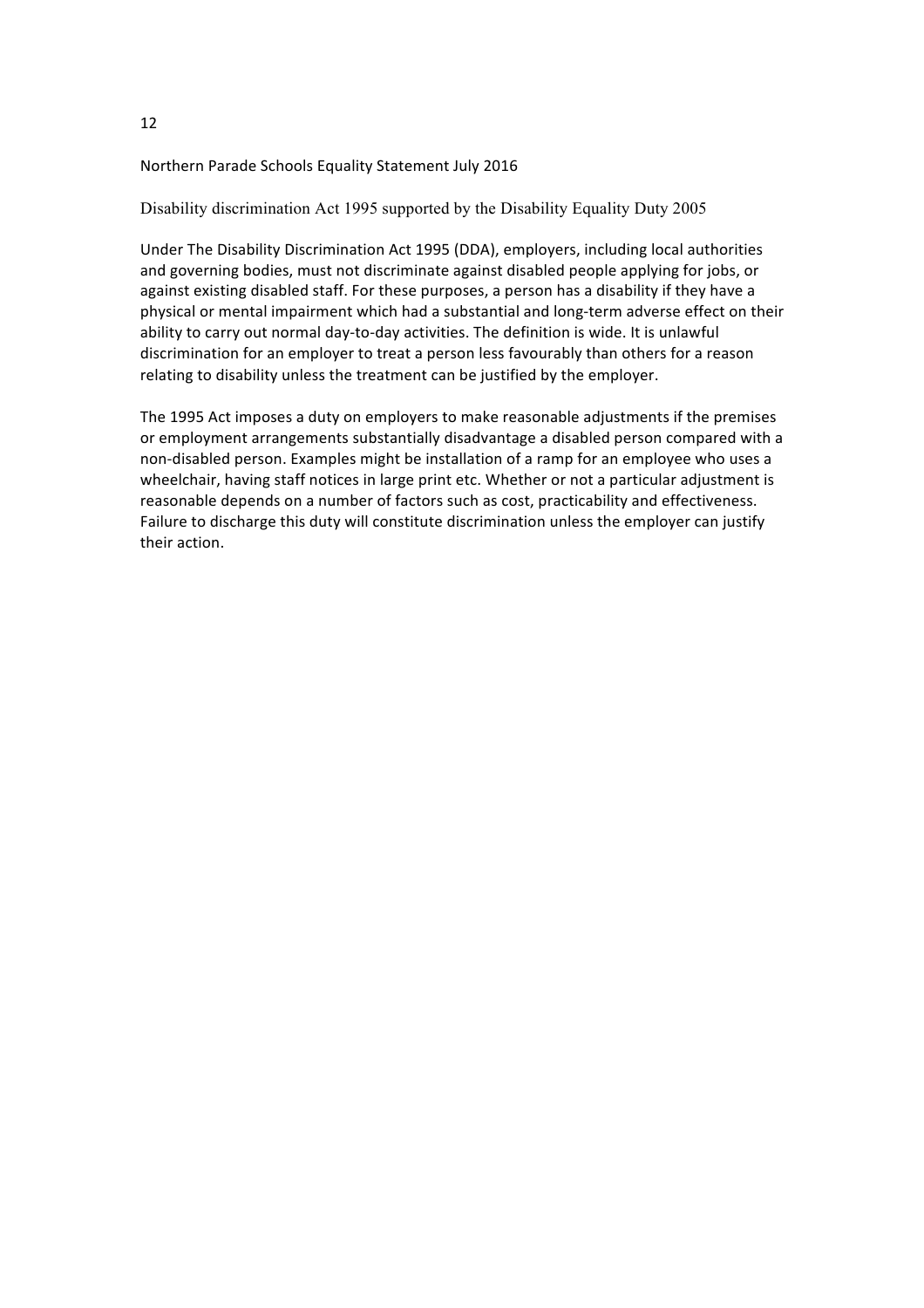Disability discrimination Act 1995 supported by the Disability Equality Duty 2005

Under The Disability Discrimination Act 1995 (DDA), employers, including local authorities and governing bodies, must not discriminate against disabled people applying for jobs, or against existing disabled staff. For these purposes, a person has a disability if they have a physical or mental impairment which had a substantial and long-term adverse effect on their ability to carry out normal day-to-day activities. The definition is wide. It is unlawful discrimination for an employer to treat a person less favourably than others for a reason relating to disability unless the treatment can be justified by the employer.

The 1995 Act imposes a duty on employers to make reasonable adjustments if the premises or employment arrangements substantially disadvantage a disabled person compared with a non-disabled person. Examples might be installation of a ramp for an employee who uses a wheelchair, having staff notices in large print etc. Whether or not a particular adjustment is reasonable depends on a number of factors such as cost, practicability and effectiveness. Failure to discharge this duty will constitute discrimination unless the employer can justify their action.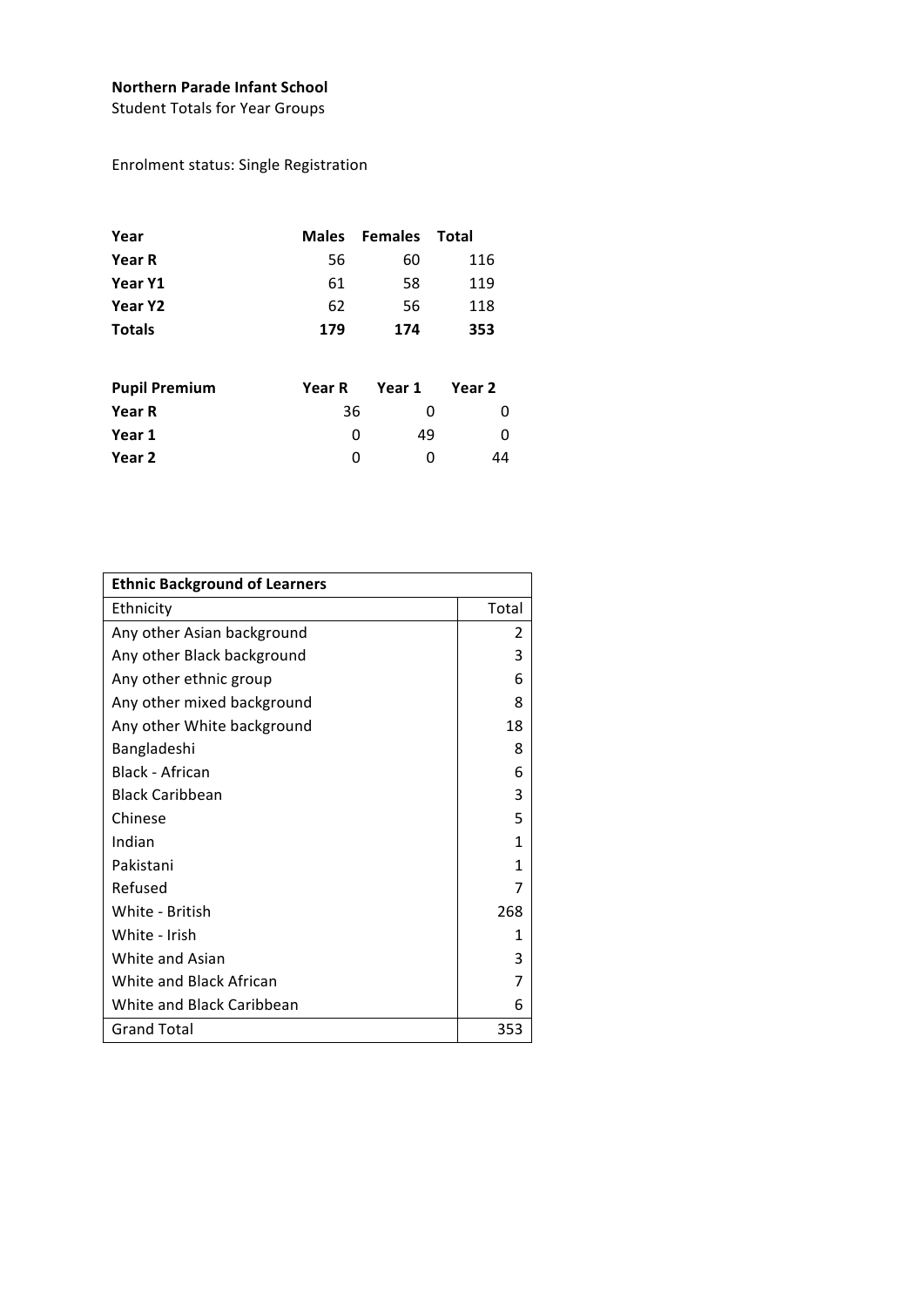## **Northern Parade Infant School**

Student Totals for Year Groups

Enrolment status: Single Registration

| Year                 | <b>Males</b> | <b>Females</b> | Total  |
|----------------------|--------------|----------------|--------|
| <b>Year R</b>        | 56           | 60             | 116    |
| Year Y1              | 61           | 58             | 119    |
| Year Y2              | 62           | 56             | 118    |
| <b>Totals</b>        | 179          | 174            | 353    |
| <b>Pupil Premium</b> | Year R       | Year 1         | Year 2 |
| <b>Year R</b>        | 36           | 0              | 0      |
| Year 1               | 0            | 49             | 0      |
| Year 2               | 0            | 0              | 44     |

| <b>Ethnic Background of Learners</b> |       |  |  |
|--------------------------------------|-------|--|--|
| Ethnicity                            | Total |  |  |
| Any other Asian background           | 2     |  |  |
| Any other Black background           | 3     |  |  |
| Any other ethnic group               | 6     |  |  |
| Any other mixed background           | 8     |  |  |
| Any other White background           | 18    |  |  |
| Bangladeshi                          | 8     |  |  |
| <b>Black - African</b>               | 6     |  |  |
| <b>Black Caribbean</b>               | 3     |  |  |
| Chinese                              | 5     |  |  |
| Indian                               | 1     |  |  |
| Pakistani                            | 1     |  |  |
| Refused                              | 7     |  |  |
| White - British                      | 268   |  |  |
| White - Irish                        | 1     |  |  |
| White and Asian                      | 3     |  |  |
| White and Black African              | 7     |  |  |
| White and Black Caribbean            | 6     |  |  |
| <b>Grand Total</b>                   | 353   |  |  |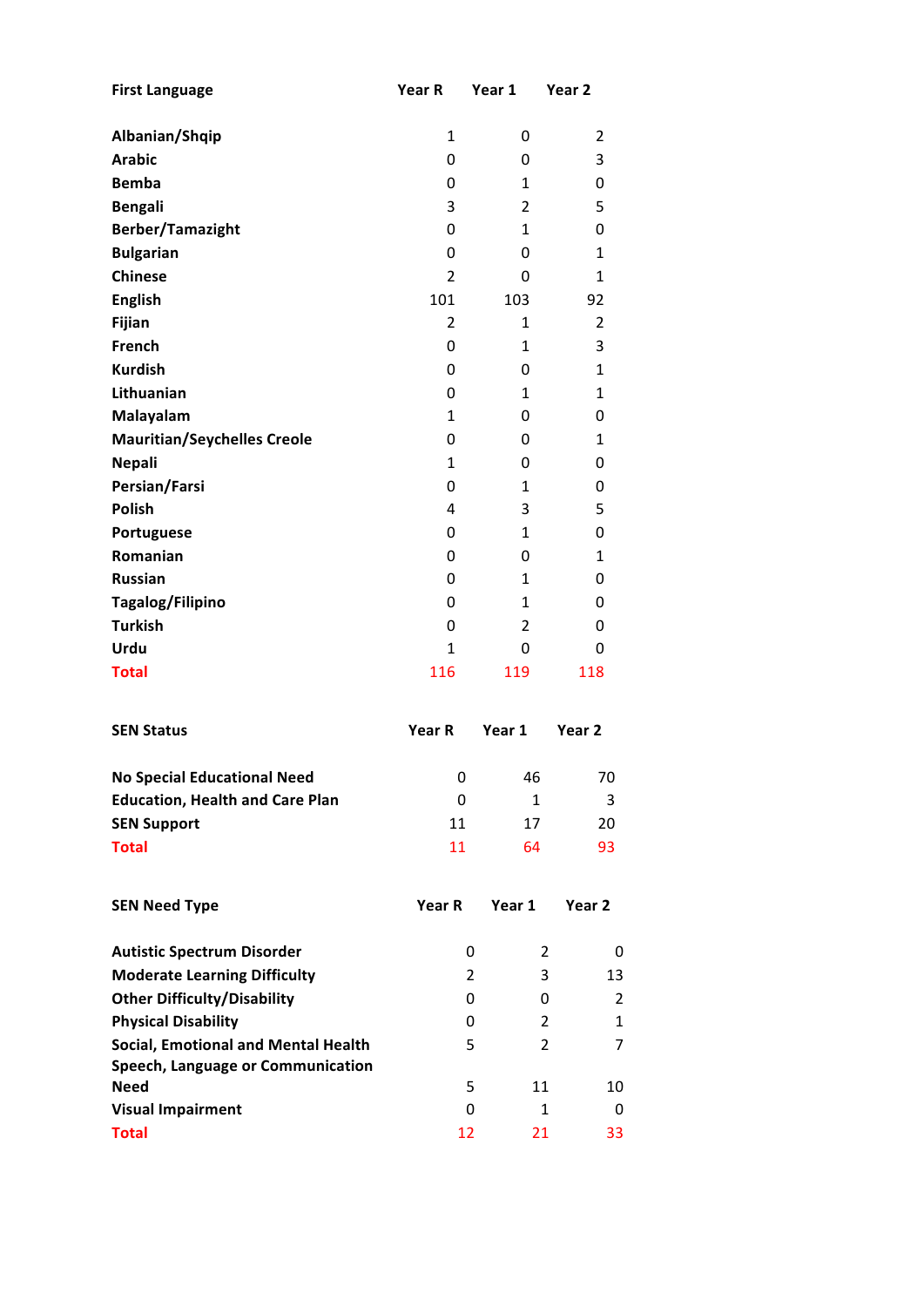| <b>First Language</b>                  | Year R         | Year 1         | Year 2            |
|----------------------------------------|----------------|----------------|-------------------|
| Albanian/Shqip                         | 1              | 0              | 2                 |
| <b>Arabic</b>                          | 0              | 0              | 3                 |
| <b>Bemba</b>                           | 0              | 1              | 0                 |
| <b>Bengali</b>                         | 3              | $\overline{2}$ | 5                 |
| <b>Berber/Tamazight</b>                | 0              | 1              | 0                 |
| <b>Bulgarian</b>                       | 0              | 0              | 1                 |
| <b>Chinese</b>                         | $\overline{2}$ | 0              | 1                 |
| <b>English</b>                         | 101            | 103            | 92                |
| Fijian                                 | $\overline{2}$ | 1              | 2                 |
| French                                 | 0              | 1              | 3                 |
| <b>Kurdish</b>                         | 0              | 0              | 1                 |
| Lithuanian                             | 0              | 1              | $\mathbf{1}$      |
| Malayalam                              | 1              | 0              | 0                 |
| <b>Mauritian/Seychelles Creole</b>     | 0              | 0              | $\mathbf{1}$      |
| <b>Nepali</b>                          | 1              | 0              | 0                 |
| Persian/Farsi                          | 0              | 1              | 0                 |
| <b>Polish</b>                          | 4              | 3              | 5                 |
| Portuguese                             | 0              | 1              | 0                 |
| Romanian                               | 0              | 0              | 1                 |
| <b>Russian</b>                         | 0              | 1              | 0                 |
| Tagalog/Filipino                       | 0              | 1              | 0                 |
| <b>Turkish</b>                         | 0              | 2              | 0                 |
| Urdu                                   | 1              | 0              | 0                 |
| <b>Total</b>                           | 116            | 119            | 118               |
| <b>SEN Status</b>                      | Year R         | Year 1         | Year <sub>2</sub> |
| <b>No Special Educational Need</b>     | 0              | 46             | 70                |
| <b>Education, Health and Care Plan</b> | 0              | 1              | 3                 |
| <b>SEN Support</b>                     | 11             | 17             | 20                |
| <b>Total</b>                           | 11             | 64             | 93                |
| <b>SEN Need Type</b>                   | Year R         | Year 1         | Year 2            |
| <b>Autistic Spectrum Disorder</b>      | 0              | 2              | 0                 |
| <b>Moderate Learning Difficulty</b>    | 2              | 3              | 13                |
| <b>Other Difficulty/Disability</b>     | 0              | 0              | $\overline{2}$    |
| <b>Physical Disability</b>             | 0              | $\overline{2}$ | $\mathbf{1}$      |
| Social, Emotional and Mental Health    | 5              | 2              | 7                 |
| Speech, Language or Communication      |                |                |                   |
| <b>Need</b>                            | 5              | 11             | 10                |
| <b>Visual Impairment</b>               | 0              | 1              | 0                 |
| <b>Total</b>                           | 12             | 21             | 33                |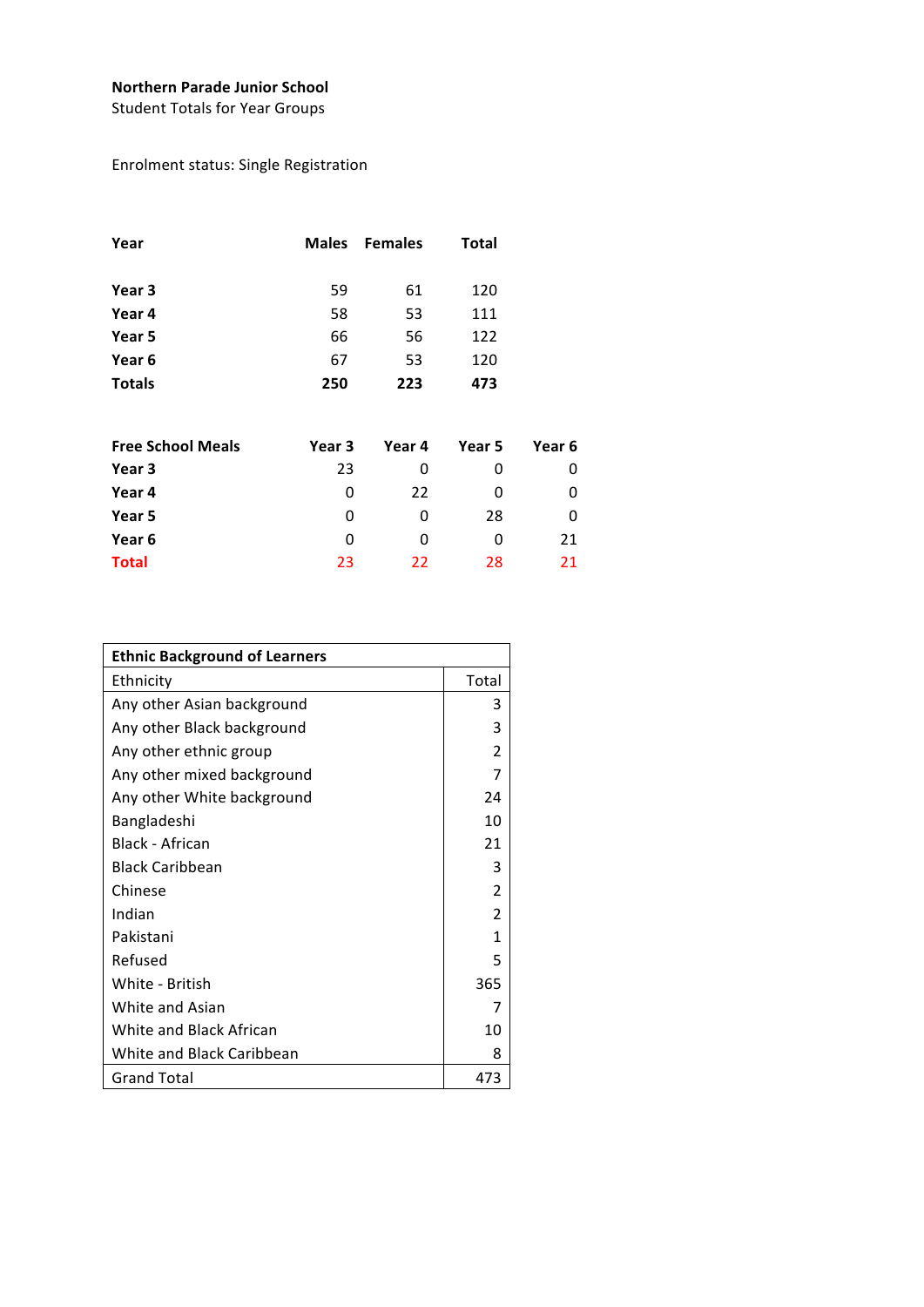## **Northern Parade Junior School**

Student Totals for Year Groups

# Enrolment status: Single Registration

| Year                     |        | Males Females | <b>Total</b> |        |
|--------------------------|--------|---------------|--------------|--------|
| Year 3                   | 59     | 61            | 120          |        |
| Year 4                   | 58     | 53            | 111          |        |
| Year 5                   | 66     | 56            | 122          |        |
| Year 6                   | 67     | 53            | 120          |        |
| <b>Totals</b>            | 250    | 223           | 473          |        |
| <b>Free School Meals</b> | Year 3 | Year 4        | Year 5       | Year 6 |
| Year 3                   | 23     | 0             | 0            | 0      |
| Year 4                   | 0      | 22            | 0            | 0      |
| Year 5                   | 0      | 0             | 28           | 0      |
| Year 6                   | 0      | 0             | 0            | 21     |

**Total** 23 22 28 21

| <b>Ethnic Background of Learners</b> |                |  |  |
|--------------------------------------|----------------|--|--|
| Ethnicity                            | Total          |  |  |
| Any other Asian background           | 3              |  |  |
| Any other Black background           | 3              |  |  |
| Any other ethnic group               | $\mathcal{P}$  |  |  |
| Any other mixed background           | 7              |  |  |
| Any other White background           | 24             |  |  |
| Bangladeshi                          | 10             |  |  |
| Black - African                      | 21             |  |  |
| <b>Black Caribbean</b>               | 3              |  |  |
| Chinese                              | $\overline{2}$ |  |  |
| Indian                               | 2              |  |  |
| Pakistani                            | 1              |  |  |
| Refused                              | 5              |  |  |
| White - British                      | 365            |  |  |
| White and Asian                      | 7              |  |  |
| White and Black African              | 10             |  |  |
| White and Black Caribbean            | 8              |  |  |
| <b>Grand Total</b>                   | 473            |  |  |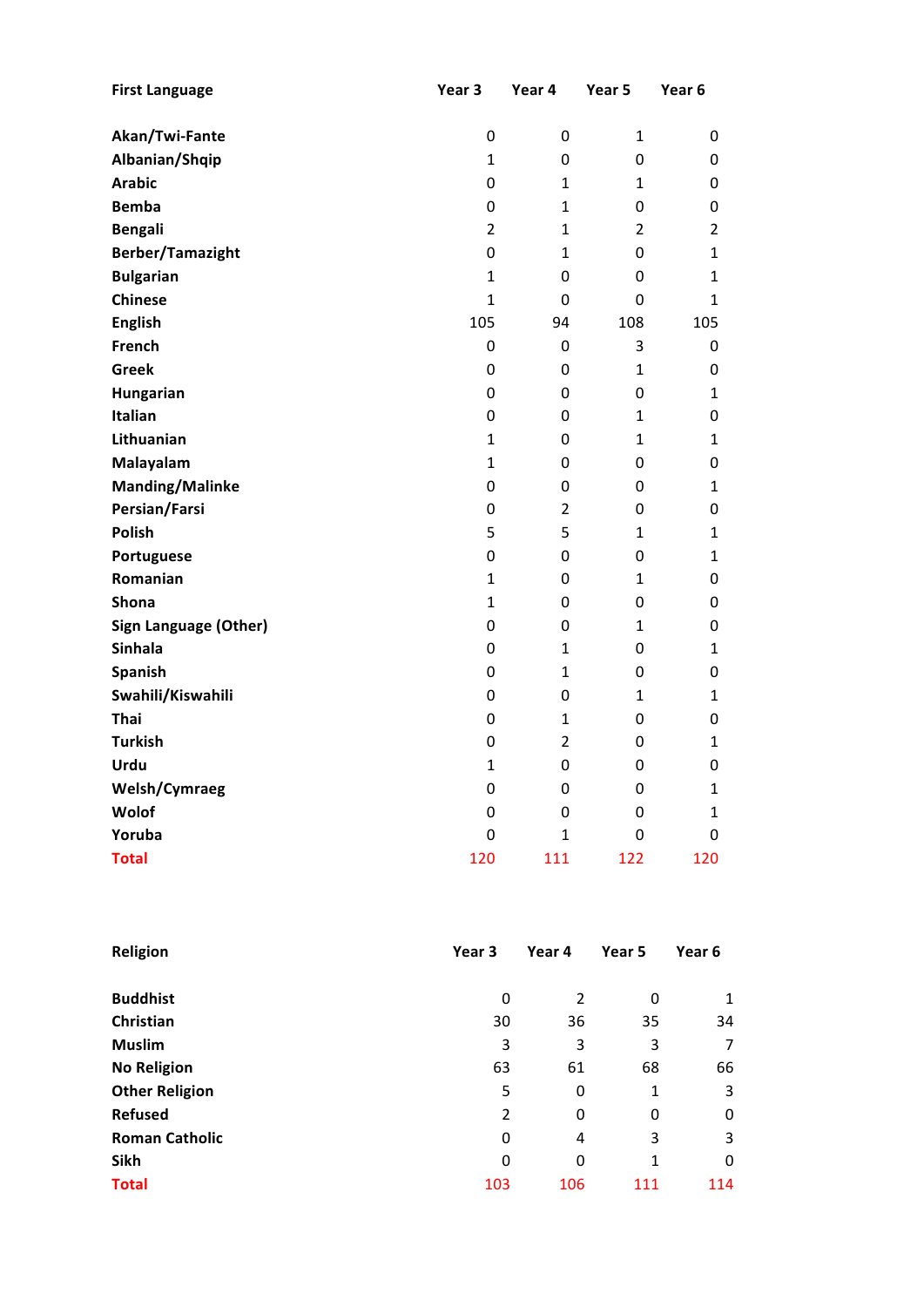| <b>First Language</b>        | Year 3           | Year 4           | Year 5           | Year 6           |
|------------------------------|------------------|------------------|------------------|------------------|
|                              |                  |                  |                  |                  |
| Akan/Twi-Fante               | $\boldsymbol{0}$ | 0                | $\mathbf{1}$     | 0                |
| Albanian/Shqip               | $\mathbf{1}$     | $\mathbf 0$      | 0                | 0                |
| <b>Arabic</b>                | $\mathbf 0$      | 1                | 1                | 0                |
| <b>Bemba</b>                 | $\mathbf 0$      | $\mathbf{1}$     | 0                | 0                |
| <b>Bengali</b>               | $\overline{2}$   | $\overline{1}$   | $\overline{2}$   | $\overline{2}$   |
| <b>Berber/Tamazight</b>      | $\mathbf 0$      | $\overline{1}$   | 0                | $\mathbf{1}$     |
| <b>Bulgarian</b>             | $\mathbf{1}$     | $\mathbf 0$      | 0                | $\mathbf{1}$     |
| <b>Chinese</b>               | $\mathbf{1}$     | $\mathbf 0$      | $\mathbf 0$      | $\mathbf{1}$     |
| <b>English</b>               | 105              | 94               | 108              | 105              |
| French                       | $\boldsymbol{0}$ | $\boldsymbol{0}$ | 3                | 0                |
| <b>Greek</b>                 | $\mathbf 0$      | $\mathbf 0$      | $\mathbf{1}$     | 0                |
| Hungarian                    | $\mathbf 0$      | $\mathbf 0$      | 0                | 1                |
| Italian                      | $\boldsymbol{0}$ | $\mathbf 0$      | 1                | 0                |
| Lithuanian                   | $\mathbf{1}$     | $\mathbf 0$      | 1                | $\mathbf{1}$     |
| Malayalam                    | $\overline{1}$   | $\mathbf 0$      | 0                | $\boldsymbol{0}$ |
| <b>Manding/Malinke</b>       | $\mathbf 0$      | $\mathbf 0$      | 0                | $\mathbf{1}$     |
| Persian/Farsi                | $\boldsymbol{0}$ | $\overline{2}$   | 0                | $\mathbf 0$      |
| <b>Polish</b>                | 5                | 5                | $\mathbf{1}$     | $\mathbf{1}$     |
| Portuguese                   | $\mathbf 0$      | $\mathbf 0$      | 0                | $\mathbf{1}$     |
| Romanian                     | $\mathbf{1}$     | $\boldsymbol{0}$ | $\mathbf{1}$     | 0                |
| Shona                        | $\mathbf{1}$     | $\mathbf 0$      | 0                | 0                |
| <b>Sign Language (Other)</b> | $\mathbf 0$      | $\mathbf 0$      | 1                | 0                |
| Sinhala                      | 0                | 1                | 0                | $\mathbf{1}$     |
| Spanish                      | 0                | 1                | 0                | 0                |
| Swahili/Kiswahili            | $\mathbf 0$      | $\mathbf 0$      | $\mathbf{1}$     | $\mathbf{1}$     |
| Thai                         | $\mathbf 0$      | $\mathbf{1}$     | 0                | $\boldsymbol{0}$ |
| <b>Turkish</b>               | $\mathbf 0$      | $\overline{2}$   | 0                | $\mathbf{1}$     |
| Urdu                         | 1                | $\mathbf 0$      | $\boldsymbol{0}$ | $\boldsymbol{0}$ |
| Welsh/Cymraeg                | $\boldsymbol{0}$ | $\mathbf 0$      | $\mathbf 0$      | $\mathbf 1$      |
| Wolof                        | $\boldsymbol{0}$ | $\mathbf 0$      | 0                | $\mathbf{1}$     |
| Yoruba                       | 0                | $\mathbf{1}$     | 0                | 0                |
| <b>Total</b>                 | 120              | 111              | 122              | 120              |

| Religion              | Year 3 | Year 4 | Year 5 | Year 6 |
|-----------------------|--------|--------|--------|--------|
|                       |        |        |        |        |
| <b>Buddhist</b>       | 0      | 2      | 0      | 1      |
| Christian             | 30     | 36     | 35     | 34     |
| <b>Muslim</b>         | 3      | 3      | 3      | 7      |
| <b>No Religion</b>    | 63     | 61     | 68     | 66     |
| <b>Other Religion</b> | 5      | 0      | 1      | 3      |
| <b>Refused</b>        | 2      | 0      | 0      | 0      |
| <b>Roman Catholic</b> | 0      | 4      | 3      | 3      |
| Sikh                  | 0      | 0      | 1      | 0      |
| <b>Total</b>          | 103    | 106    | 111    | 114    |